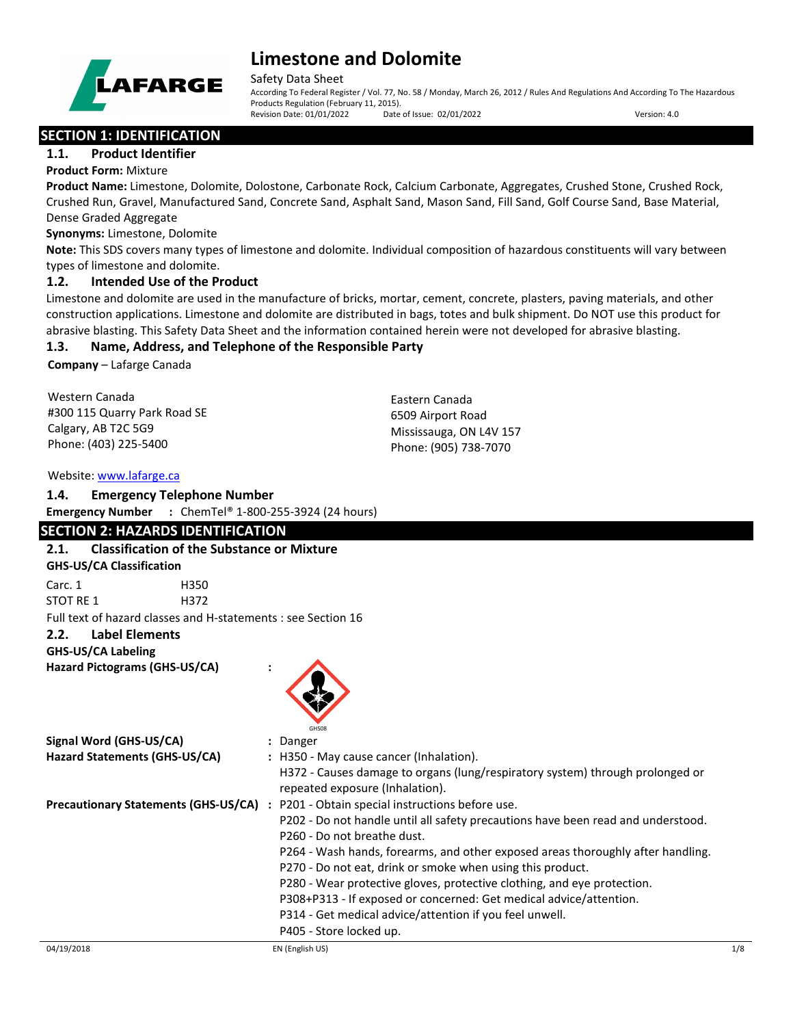

Safety Data Sheet

According To Federal Register / Vol. 77, No. 58 / Monday, March 26, 2012 / Rules And Regulations And According To The Hazardous Products Regulation (February 11, 2015).<br>Revision Date: 01/01/2022 Date of Issue: 02/01/2022 Revision Date: 01/01/2022 Date of Issue: 02/01/2022 Version: 4.0

## **SECTION 1: IDENTIFICATION**

### **1.1. Product Identifier**

**Product Form:** Mixture

**Product Name:** Limestone, Dolomite, Dolostone, Carbonate Rock, Calcium Carbonate, Aggregates, Crushed Stone, Crushed Rock, Crushed Run, Gravel, Manufactured Sand, Concrete Sand, Asphalt Sand, Mason Sand, Fill Sand, Golf Course Sand, Base Material, Dense Graded Aggregate

**Synonyms:** Limestone, Dolomite

**Note:** This SDS covers many types of limestone and dolomite. Individual composition of hazardous constituents will vary between types of limestone and dolomite.

## **1.2. Intended Use of the Product**

Limestone and dolomite are used in the manufacture of bricks, mortar, cement, concrete, plasters, paving materials, and other construction applications. Limestone and dolomite are distributed in bags, totes and bulk shipment. Do NOT use this product for abrasive blasting. This Safety Data Sheet and the information contained herein were not developed for abrasive blasting.

## **1.3. Name, Address, and Telephone of the Responsible Party**

**Company** – Lafarge Canada

| Western Canada               | Eastern Canada          |
|------------------------------|-------------------------|
| #300 115 Quarry Park Road SE | 6509 Airport Road       |
| Calgary, AB T2C 5G9          | Mississauga, ON L4V 157 |
| Phone: (403) 225-5400        | Phone: (905) 738-7070   |
|                              |                         |

#### Website: [www.lafarge.ca](file://leon/customers/CUSTOMERS/Lafarge_North_America_Inc/Projects/Authoring_20180316/Batch_Folder/B_Draft_SDS/MS_Word_Files/www.lafarge.ca)

### **1.4. Emergency Telephone Number**

**Emergency Number :** ChemTel® 1-800-255-3924 (24 hours)

## **SECTION 2: HAZARDS IDENTIFICATION**

| <b>Classification of the Substance or Mixture</b><br>2.1.     |                                                                                       |     |
|---------------------------------------------------------------|---------------------------------------------------------------------------------------|-----|
| <b>GHS-US/CA Classification</b>                               |                                                                                       |     |
| Carc. 1<br>H350                                               |                                                                                       |     |
| <b>STOT RE 1</b><br>H372                                      |                                                                                       |     |
| Full text of hazard classes and H-statements : see Section 16 |                                                                                       |     |
| <b>Label Elements</b><br>2.2.                                 |                                                                                       |     |
| <b>GHS-US/CA Labeling</b>                                     |                                                                                       |     |
| Hazard Pictograms (GHS-US/CA)                                 |                                                                                       |     |
|                                                               |                                                                                       |     |
|                                                               |                                                                                       |     |
|                                                               |                                                                                       |     |
|                                                               | <b>GHSO<sub>8</sub></b>                                                               |     |
| Signal Word (GHS-US/CA)                                       | : Danger                                                                              |     |
| Hazard Statements (GHS-US/CA)                                 | : H350 - May cause cancer (Inhalation).                                               |     |
|                                                               | H372 - Causes damage to organs (lung/respiratory system) through prolonged or         |     |
|                                                               | repeated exposure (Inhalation).                                                       |     |
|                                                               | Precautionary Statements (GHS-US/CA) : P201 - Obtain special instructions before use. |     |
|                                                               | P202 - Do not handle until all safety precautions have been read and understood.      |     |
|                                                               | P260 - Do not breathe dust.                                                           |     |
|                                                               | P264 - Wash hands, forearms, and other exposed areas thoroughly after handling.       |     |
|                                                               | P270 - Do not eat, drink or smoke when using this product.                            |     |
|                                                               | P280 - Wear protective gloves, protective clothing, and eye protection.               |     |
|                                                               | P308+P313 - If exposed or concerned: Get medical advice/attention.                    |     |
|                                                               | P314 - Get medical advice/attention if you feel unwell.                               |     |
|                                                               | P405 - Store locked up.                                                               |     |
| 04/19/2018                                                    | EN (English US)                                                                       | 1/8 |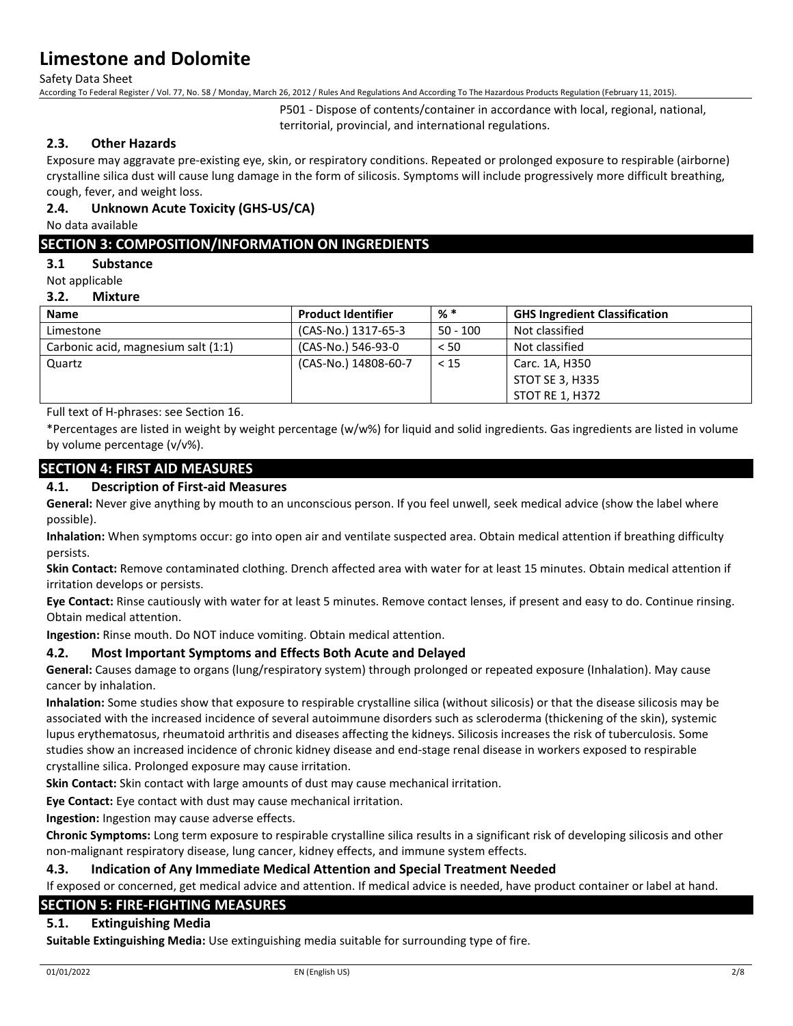Safety Data Sheet

According To Federal Register / Vol. 77, No. 58 / Monday, March 26, 2012 / Rules And Regulations And According To The Hazardous Products Regulation (February 11, 2015).

P501 - Dispose of contents/container in accordance with local, regional, national, territorial, provincial, and international regulations.

## **2.3. Other Hazards**

Exposure may aggravate pre-existing eye, skin, or respiratory conditions. Repeated or prolonged exposure to respirable (airborne) crystalline silica dust will cause lung damage in the form of silicosis. Symptoms will include progressively more difficult breathing, cough, fever, and weight loss.

## **2.4. Unknown Acute Toxicity (GHS-US/CA)**

No data available

## **SECTION 3: COMPOSITION/INFORMATION ON INGREDIENTS**

#### **3.1 Substance**

Not applicable

#### **3.2. Mixture**

| <b>Name</b>                         | <b>Product Identifier</b> | % *        | <b>GHS Ingredient Classification</b> |
|-------------------------------------|---------------------------|------------|--------------------------------------|
| Limestone                           | (CAS-No.) 1317-65-3       | $50 - 100$ | Not classified                       |
| Carbonic acid, magnesium salt (1:1) | (CAS-No.) 546-93-0        | < 50       | Not classified                       |
| Quartz                              | (CAS-No.) 14808-60-7      | $<$ 15     | Carc. 1A, H350                       |
|                                     |                           |            | STOT SE 3, H335                      |
|                                     |                           |            | STOT RE 1, H372                      |

Full text of H-phrases: see Section 16.

\*Percentages are listed in weight by weight percentage (w/w%) for liquid and solid ingredients. Gas ingredients are listed in volume by volume percentage (v/v%).

## **SECTION 4: FIRST AID MEASURES**

## **4.1. Description of First-aid Measures**

**General:** Never give anything by mouth to an unconscious person. If you feel unwell, seek medical advice (show the label where possible).

**Inhalation:** When symptoms occur: go into open air and ventilate suspected area. Obtain medical attention if breathing difficulty persists.

**Skin Contact:** Remove contaminated clothing. Drench affected area with water for at least 15 minutes. Obtain medical attention if irritation develops or persists.

**Eye Contact:** Rinse cautiously with water for at least 5 minutes. Remove contact lenses, if present and easy to do. Continue rinsing. Obtain medical attention.

**Ingestion:** Rinse mouth. Do NOT induce vomiting. Obtain medical attention.

### **4.2. Most Important Symptoms and Effects Both Acute and Delayed**

**General:** Causes damage to organs (lung/respiratory system) through prolonged or repeated exposure (Inhalation). May cause cancer by inhalation.

**Inhalation:** Some studies show that exposure to respirable crystalline silica (without silicosis) or that the disease silicosis may be associated with the increased incidence of several autoimmune disorders such as scleroderma (thickening of the skin), systemic lupus erythematosus, rheumatoid arthritis and diseases affecting the kidneys. Silicosis increases the risk of tuberculosis. Some studies show an increased incidence of chronic kidney disease and end-stage renal disease in workers exposed to respirable crystalline silica. Prolonged exposure may cause irritation.

**Skin Contact:** Skin contact with large amounts of dust may cause mechanical irritation.

**Eye Contact:** Eye contact with dust may cause mechanical irritation.

**Ingestion:** Ingestion may cause adverse effects.

**Chronic Symptoms:** Long term exposure to respirable crystalline silica results in a significant risk of developing silicosis and other non-malignant respiratory disease, lung cancer, kidney effects, and immune system effects.

### **4.3. Indication of Any Immediate Medical Attention and Special Treatment Needed**

If exposed or concerned, get medical advice and attention. If medical advice is needed, have product container or label at hand.

## **SECTION 5: FIRE-FIGHTING MEASURES**

### **5.1. Extinguishing Media**

**Suitable Extinguishing Media:** Use extinguishing media suitable for surrounding type of fire.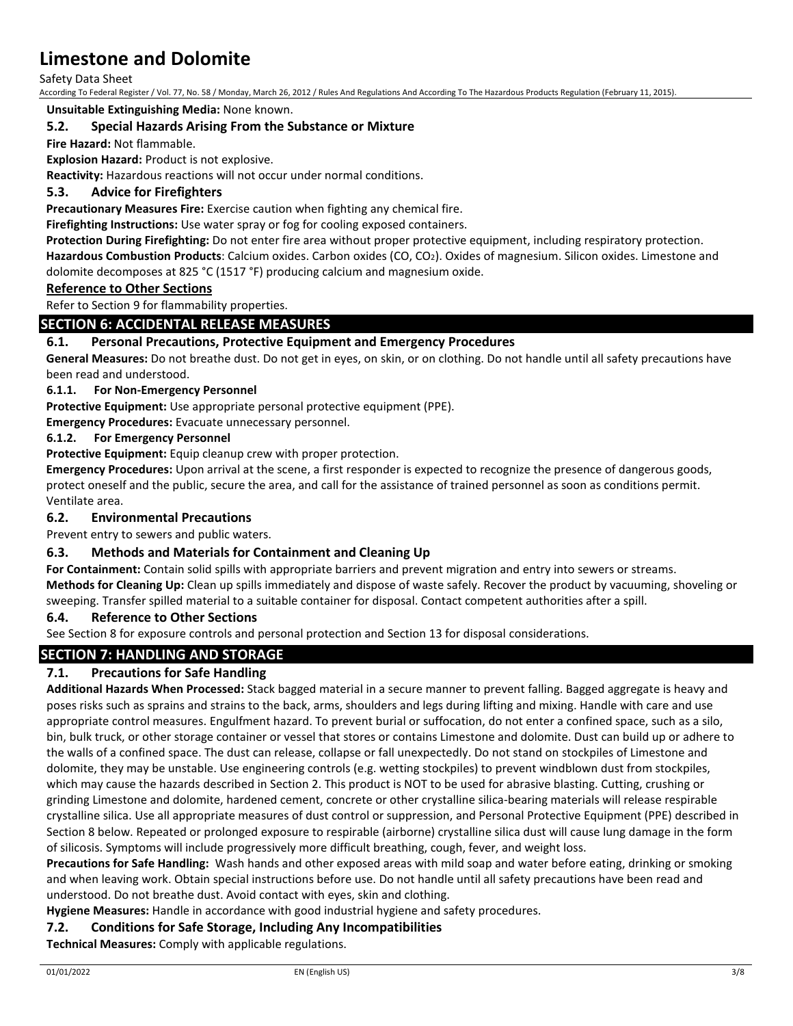Safety Data Sheet

According To Federal Register / Vol. 77, No. 58 / Monday, March 26, 2012 / Rules And Regulations And According To The Hazardous Products Regulation (February 11, 2015).

**Unsuitable Extinguishing Media:** None known.

## **5.2. Special Hazards Arising From the Substance or Mixture**

**Fire Hazard:** Not flammable.

**Explosion Hazard:** Product is not explosive.

**Reactivity:** Hazardous reactions will not occur under normal conditions.

## **5.3. Advice for Firefighters**

**Precautionary Measures Fire:** Exercise caution when fighting any chemical fire.

**Firefighting Instructions:** Use water spray or fog for cooling exposed containers.

**Protection During Firefighting:** Do not enter fire area without proper protective equipment, including respiratory protection. **Hazardous Combustion Products**: Calcium oxides. Carbon oxides (CO, CO2). Oxides of magnesium. Silicon oxides. Limestone and dolomite decomposes at 825 °C (1517 °F) producing calcium and magnesium oxide.

### **Reference to Other Sections**

Refer to Section 9 for flammability properties.

## **SECTION 6: ACCIDENTAL RELEASE MEASURES**

## **6.1. Personal Precautions, Protective Equipment and Emergency Procedures**

**General Measures:** Do not breathe dust. Do not get in eyes, on skin, or on clothing. Do not handle until all safety precautions have been read and understood.

### **6.1.1. For Non-Emergency Personnel**

**Protective Equipment:** Use appropriate personal protective equipment (PPE).

**Emergency Procedures:** Evacuate unnecessary personnel.

### **6.1.2. For Emergency Personnel**

**Protective Equipment:** Equip cleanup crew with proper protection.

**Emergency Procedures:** Upon arrival at the scene, a first responder is expected to recognize the presence of dangerous goods, protect oneself and the public, secure the area, and call for the assistance of trained personnel as soon as conditions permit. Ventilate area.

### **6.2. Environmental Precautions**

Prevent entry to sewers and public waters.

### **6.3. Methods and Materials for Containment and Cleaning Up**

**For Containment:** Contain solid spills with appropriate barriers and prevent migration and entry into sewers or streams. **Methods for Cleaning Up:** Clean up spills immediately and dispose of waste safely. Recover the product by vacuuming, shoveling or sweeping. Transfer spilled material to a suitable container for disposal. Contact competent authorities after a spill.

### **6.4. Reference to Other Sections**

See Section 8 for exposure controls and personal protection and Section 13 for disposal considerations.

## **SECTION 7: HANDLING AND STORAGE**

## **7.1. Precautions for Safe Handling**

**Additional Hazards When Processed:** Stack bagged material in a secure manner to prevent falling. Bagged aggregate is heavy and poses risks such as sprains and strains to the back, arms, shoulders and legs during lifting and mixing. Handle with care and use appropriate control measures. Engulfment hazard. To prevent burial or suffocation, do not enter a confined space, such as a silo, bin, bulk truck, or other storage container or vessel that stores or contains Limestone and dolomite. Dust can build up or adhere to the walls of a confined space. The dust can release, collapse or fall unexpectedly. Do not stand on stockpiles of Limestone and dolomite, they may be unstable. Use engineering controls (e.g. wetting stockpiles) to prevent windblown dust from stockpiles, which may cause the hazards described in Section 2. This product is NOT to be used for abrasive blasting. Cutting, crushing or grinding Limestone and dolomite, hardened cement, concrete or other crystalline silica-bearing materials will release respirable crystalline silica. Use all appropriate measures of dust control or suppression, and Personal Protective Equipment (PPE) described in Section 8 below. Repeated or prolonged exposure to respirable (airborne) crystalline silica dust will cause lung damage in the form of silicosis. Symptoms will include progressively more difficult breathing, cough, fever, and weight loss.

**Precautions for Safe Handling:** Wash hands and other exposed areas with mild soap and water before eating, drinking or smoking and when leaving work. Obtain special instructions before use. Do not handle until all safety precautions have been read and understood. Do not breathe dust. Avoid contact with eyes, skin and clothing.

**Hygiene Measures:** Handle in accordance with good industrial hygiene and safety procedures.

### **7.2. Conditions for Safe Storage, Including Any Incompatibilities**

**Technical Measures:** Comply with applicable regulations.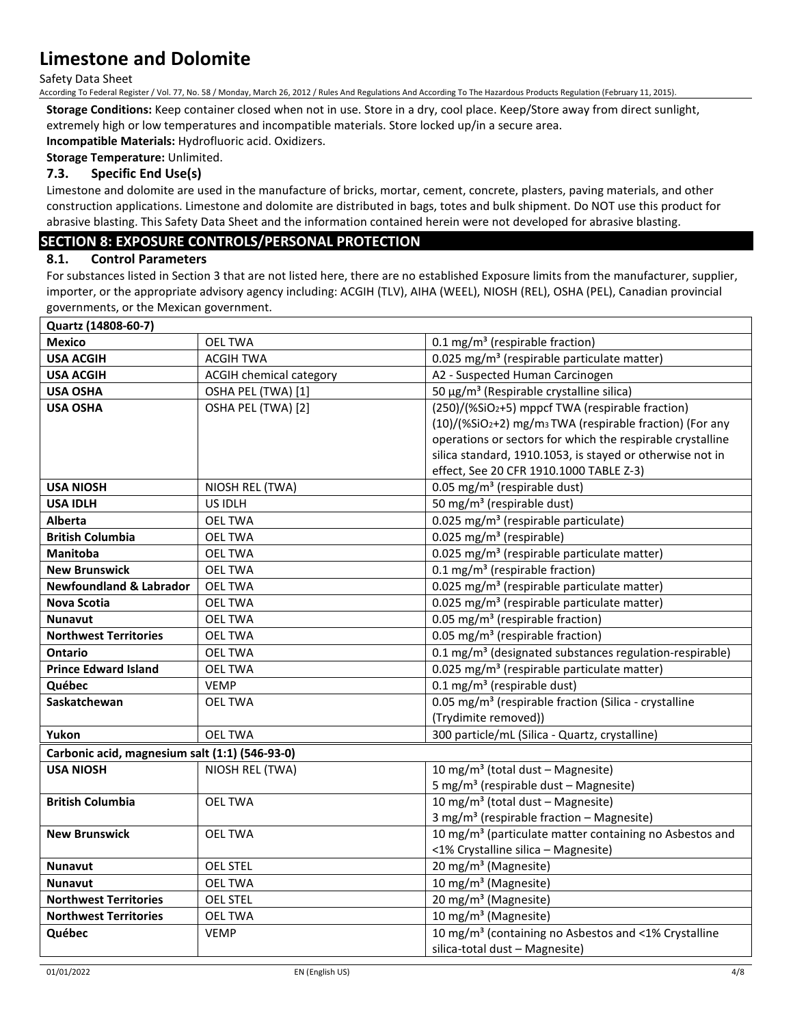Safety Data Sheet

According To Federal Register / Vol. 77, No. 58 / Monday, March 26, 2012 / Rules And Regulations And According To The Hazardous Products Regulation (February 11, 2015).

**Storage Conditions:** Keep container closed when not in use. Store in a dry, cool place. Keep/Store away from direct sunlight, extremely high or low temperatures and incompatible materials. Store locked up/in a secure area.

**Incompatible Materials:** Hydrofluoric acid. Oxidizers.

**Storage Temperature:** Unlimited.

## **7.3. Specific End Use(s)**

Limestone and dolomite are used in the manufacture of bricks, mortar, cement, concrete, plasters, paving materials, and other construction applications. Limestone and dolomite are distributed in bags, totes and bulk shipment. Do NOT use this product for abrasive blasting. This Safety Data Sheet and the information contained herein were not developed for abrasive blasting.

## **SECTION 8: EXPOSURE CONTROLS/PERSONAL PROTECTION**

### **8.1. Control Parameters**

For substances listed in Section 3 that are not listed here, there are no established Exposure limits from the manufacturer, supplier, importer, or the appropriate advisory agency including: ACGIH (TLV), AIHA (WEEL), NIOSH (REL), OSHA (PEL), Canadian provincial governments, or the Mexican government.

| Quartz (14808-60-7)                            |                                |                                                                     |  |
|------------------------------------------------|--------------------------------|---------------------------------------------------------------------|--|
| <b>Mexico</b>                                  | <b>OEL TWA</b>                 | 0.1 mg/m <sup>3</sup> (respirable fraction)                         |  |
| <b>USA ACGIH</b>                               | <b>ACGIH TWA</b>               | 0.025 mg/m <sup>3</sup> (respirable particulate matter)             |  |
| <b>USA ACGIH</b>                               | <b>ACGIH chemical category</b> | A2 - Suspected Human Carcinogen                                     |  |
| <b>USA OSHA</b>                                | OSHA PEL (TWA) [1]             | 50 μg/m <sup>3</sup> (Respirable crystalline silica)                |  |
| <b>USA OSHA</b>                                | OSHA PEL (TWA) [2]             | (250)/(%SiO2+5) mppcf TWA (respirable fraction)                     |  |
|                                                |                                | (10)/(%SiO2+2) mg/m <sub>3</sub> TWA (respirable fraction) (For any |  |
|                                                |                                | operations or sectors for which the respirable crystalline          |  |
|                                                |                                | silica standard, 1910.1053, is stayed or otherwise not in           |  |
|                                                |                                | effect, See 20 CFR 1910.1000 TABLE Z-3)                             |  |
| <b>USA NIOSH</b>                               | NIOSH REL (TWA)                | 0.05 mg/m <sup>3</sup> (respirable dust)                            |  |
| <b>USA IDLH</b>                                | US IDLH                        | 50 mg/m <sup>3</sup> (respirable dust)                              |  |
| <b>Alberta</b>                                 | <b>OEL TWA</b>                 | 0.025 mg/m <sup>3</sup> (respirable particulate)                    |  |
| <b>British Columbia</b>                        | <b>OEL TWA</b>                 | $0.025$ mg/m <sup>3</sup> (respirable)                              |  |
| <b>Manitoba</b>                                | <b>OEL TWA</b>                 | 0.025 mg/m <sup>3</sup> (respirable particulate matter)             |  |
| <b>New Brunswick</b>                           | <b>OEL TWA</b>                 | 0.1 mg/m <sup>3</sup> (respirable fraction)                         |  |
| <b>Newfoundland &amp; Labrador</b>             | <b>OEL TWA</b>                 | 0.025 mg/m <sup>3</sup> (respirable particulate matter)             |  |
| <b>Nova Scotia</b>                             | <b>OEL TWA</b>                 | 0.025 mg/m <sup>3</sup> (respirable particulate matter)             |  |
| <b>Nunavut</b>                                 | <b>OEL TWA</b>                 | 0.05 mg/m <sup>3</sup> (respirable fraction)                        |  |
| <b>Northwest Territories</b>                   | <b>OEL TWA</b>                 | 0.05 mg/m <sup>3</sup> (respirable fraction)                        |  |
| <b>Ontario</b>                                 | <b>OEL TWA</b>                 | 0.1 mg/m <sup>3</sup> (designated substances regulation-respirable) |  |
| <b>Prince Edward Island</b>                    | <b>OEL TWA</b>                 | 0.025 mg/m <sup>3</sup> (respirable particulate matter)             |  |
| Québec                                         | <b>VEMP</b>                    | 0.1 mg/m <sup>3</sup> (respirable dust)                             |  |
| Saskatchewan                                   | <b>OEL TWA</b>                 | 0.05 mg/m <sup>3</sup> (respirable fraction (Silica - crystalline   |  |
|                                                |                                | (Trydimite removed))                                                |  |
| Yukon                                          | <b>OEL TWA</b>                 | 300 particle/mL (Silica - Quartz, crystalline)                      |  |
| Carbonic acid, magnesium salt (1:1) (546-93-0) |                                |                                                                     |  |
| <b>USA NIOSH</b>                               | NIOSH REL (TWA)                | 10 mg/m <sup>3</sup> (total dust - Magnesite)                       |  |
|                                                |                                | 5 mg/m <sup>3</sup> (respirable dust - Magnesite)                   |  |
| <b>British Columbia</b>                        | <b>OEL TWA</b>                 | 10 mg/m <sup>3</sup> (total dust - Magnesite)                       |  |
|                                                |                                | 3 mg/m <sup>3</sup> (respirable fraction - Magnesite)               |  |
| <b>New Brunswick</b>                           | <b>OEL TWA</b>                 | 10 mg/m <sup>3</sup> (particulate matter containing no Asbestos and |  |
|                                                |                                | <1% Crystalline silica - Magnesite)                                 |  |
| <b>Nunavut</b>                                 | <b>OEL STEL</b>                | 20 mg/m <sup>3</sup> (Magnesite)                                    |  |
| <b>Nunavut</b>                                 | <b>OEL TWA</b>                 | 10 mg/m <sup>3</sup> (Magnesite)                                    |  |
| <b>Northwest Territories</b>                   | <b>OEL STEL</b>                | 20 mg/m <sup>3</sup> (Magnesite)                                    |  |
| <b>Northwest Territories</b>                   | <b>OEL TWA</b>                 | 10 mg/m <sup>3</sup> (Magnesite)                                    |  |
| Québec                                         | <b>VEMP</b>                    | 10 mg/m <sup>3</sup> (containing no Asbestos and <1% Crystalline    |  |
|                                                |                                | silica-total dust - Magnesite)                                      |  |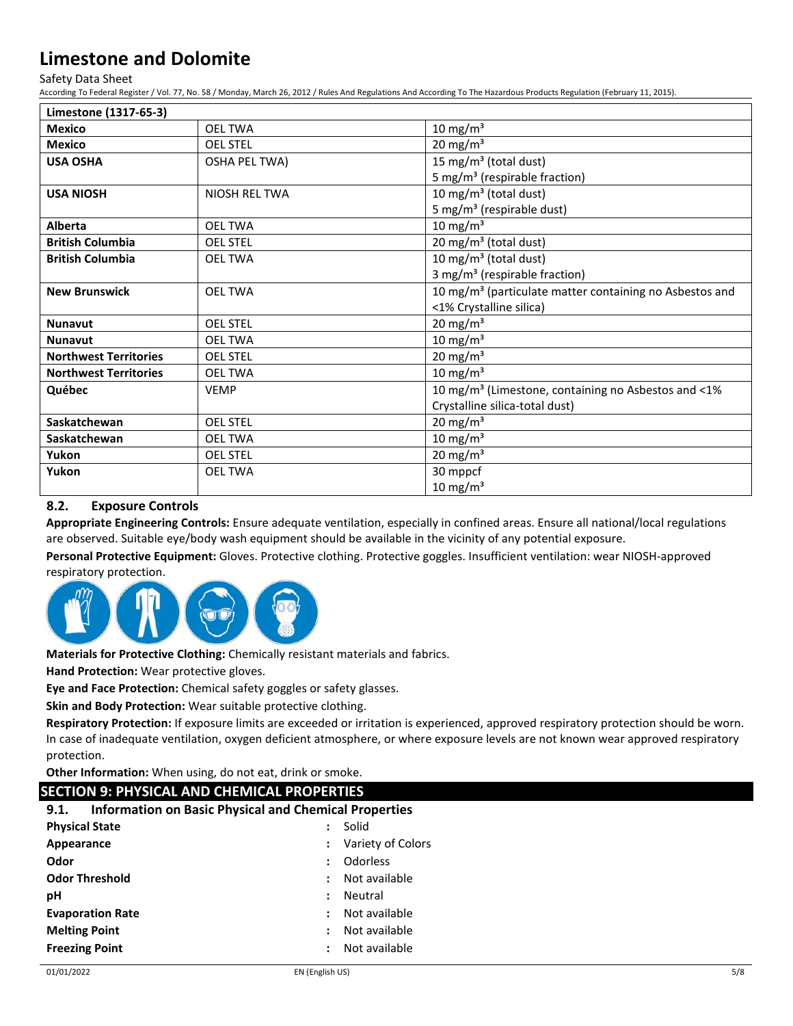Safety Data Sheet

According To Federal Register / Vol. 77, No. 58 / Monday, March 26, 2012 / Rules And Regulations And According To The Hazardous Products Regulation (February 11, 2015).

| Limestone (1317-65-3)        |                      |                                                                     |
|------------------------------|----------------------|---------------------------------------------------------------------|
| <b>Mexico</b>                | <b>OEL TWA</b>       | $10 \text{ mg/m}^3$                                                 |
| <b>Mexico</b>                | <b>OEL STEL</b>      | 20 mg/m <sup>3</sup>                                                |
| <b>USA OSHA</b>              | OSHA PEL TWA)        | 15 mg/m <sup>3</sup> (total dust)                                   |
|                              |                      | 5 mg/m <sup>3</sup> (respirable fraction)                           |
| <b>USA NIOSH</b>             | <b>NIOSH REL TWA</b> | 10 mg/m <sup>3</sup> (total dust)                                   |
|                              |                      | 5 mg/m <sup>3</sup> (respirable dust)                               |
| <b>Alberta</b>               | <b>OEL TWA</b>       | 10 mg/m <sup>3</sup>                                                |
| <b>British Columbia</b>      | <b>OEL STEL</b>      | 20 mg/m <sup>3</sup> (total dust)                                   |
| <b>British Columbia</b>      | <b>OEL TWA</b>       | 10 mg/m <sup>3</sup> (total dust)                                   |
|                              |                      | 3 mg/m <sup>3</sup> (respirable fraction)                           |
| <b>New Brunswick</b>         | <b>OEL TWA</b>       | 10 mg/m <sup>3</sup> (particulate matter containing no Asbestos and |
|                              |                      | <1% Crystalline silica)                                             |
| <b>Nunavut</b>               | <b>OEL STEL</b>      | $20 \text{ mg/m}^3$                                                 |
| <b>Nunavut</b>               | <b>OEL TWA</b>       | $10 \text{ mg/m}^3$                                                 |
| <b>Northwest Territories</b> | <b>OEL STEL</b>      | $20 \text{ mg/m}^3$                                                 |
| <b>Northwest Territories</b> | <b>OEL TWA</b>       | 10 mg/m $3$                                                         |
| Québec                       | <b>VEMP</b>          | 10 mg/m <sup>3</sup> (Limestone, containing no Asbestos and <1%     |
|                              |                      | Crystalline silica-total dust)                                      |
| Saskatchewan                 | <b>OEL STEL</b>      | $20 \text{ mg/m}^3$                                                 |
| Saskatchewan                 | <b>OEL TWA</b>       | $10 \text{ mg/m}^3$                                                 |
| Yukon                        | <b>OEL STEL</b>      | $20 \text{ mg/m}^3$                                                 |
| Yukon                        | <b>OEL TWA</b>       | 30 mppcf                                                            |
|                              |                      | $10 \text{ mg/m}^3$                                                 |

## **8.2. Exposure Controls**

**Appropriate Engineering Controls:** Ensure adequate ventilation, especially in confined areas. Ensure all national/local regulations are observed. Suitable eye/body wash equipment should be available in the vicinity of any potential exposure.

**Personal Protective Equipment:** Gloves. Protective clothing. Protective goggles. Insufficient ventilation: wear NIOSH-approved respiratory protection.



**Materials for Protective Clothing:** Chemically resistant materials and fabrics.

**Hand Protection:** Wear protective gloves.

**Eye and Face Protection:** Chemical safety goggles or safety glasses.

**Skin and Body Protection:** Wear suitable protective clothing.

**Respiratory Protection:** If exposure limits are exceeded or irritation is experienced, approved respiratory protection should be worn. In case of inadequate ventilation, oxygen deficient atmosphere, or where exposure levels are not known wear approved respiratory protection.

**Other Information:** When using, do not eat, drink or smoke.

## **SECTION 9: PHYSICAL AND CHEMICAL PROPERTIES**

| 9.1. |  |  | <b>Information on Basic Physical and Chemical Properties</b> |
|------|--|--|--------------------------------------------------------------|
|------|--|--|--------------------------------------------------------------|

| <b>Physical State</b>   | $\ddot{\phantom{a}}$ | Solid               |
|-------------------------|----------------------|---------------------|
| Appearance              |                      | : Variety of Colors |
| Odor                    | $\ddot{\phantom{a}}$ | Odorless            |
| <b>Odor Threshold</b>   | $\ddot{\phantom{a}}$ | Not available       |
| рH                      | $\ddot{\phantom{a}}$ | Neutral             |
| <b>Evaporation Rate</b> | $\ddot{\phantom{a}}$ | Not available       |
| <b>Melting Point</b>    | $\ddot{\phantom{a}}$ | Not available       |
| <b>Freezing Point</b>   | $\ddot{\phantom{a}}$ | Not available       |
|                         |                      |                     |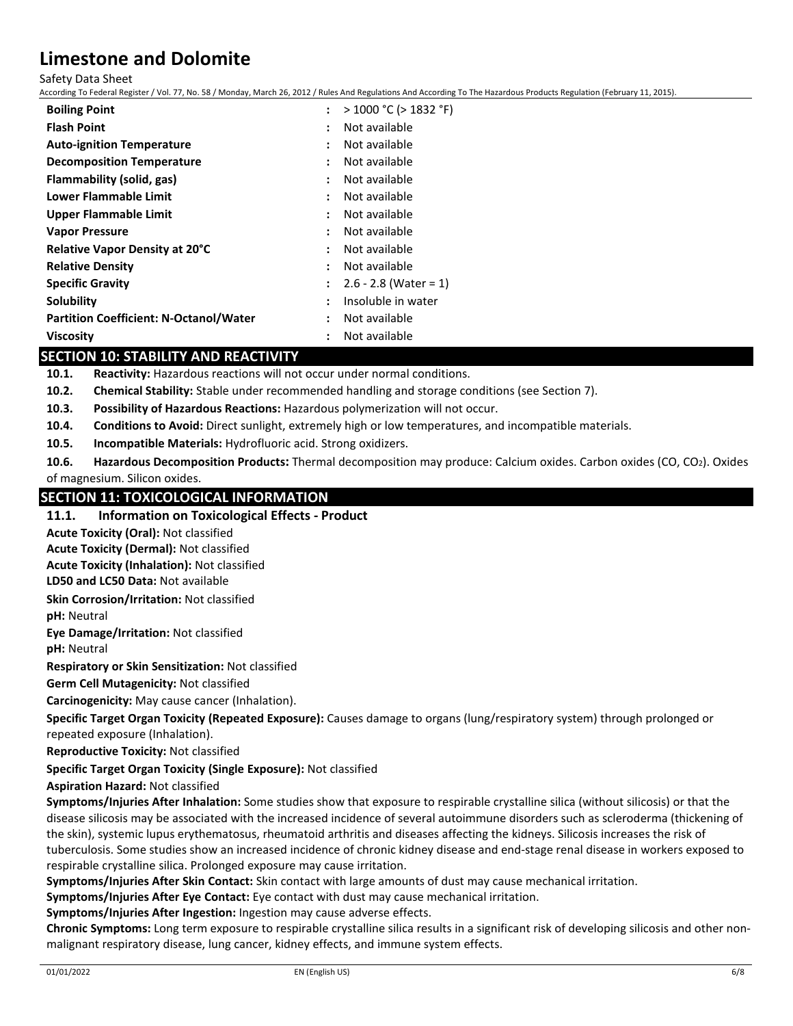Safety Data Sheet

According To Federal Register / Vol. 77, No. 58 / Monday, March 26, 2012 / Rules And Regulations And According To The Hazardous Products Regulation (February 11, 2015).

| <b>Boiling Point</b>                          |                      | > 1000 °C (> 1832 °F)   |
|-----------------------------------------------|----------------------|-------------------------|
| <b>Flash Point</b>                            |                      | Not available           |
| <b>Auto-ignition Temperature</b>              | ÷                    | Not available           |
| <b>Decomposition Temperature</b>              | $\ddot{\phantom{a}}$ | Not available           |
| Flammability (solid, gas)                     |                      | Not available           |
| Lower Flammable Limit                         | $\ddot{\phantom{a}}$ | Not available           |
| <b>Upper Flammable Limit</b>                  | $\ddot{\phantom{a}}$ | Not available           |
| <b>Vapor Pressure</b>                         |                      | Not available           |
| Relative Vapor Density at 20°C                | $\ddot{\phantom{a}}$ | Not available           |
| <b>Relative Density</b>                       | $\ddot{\phantom{a}}$ | Not available           |
| <b>Specific Gravity</b>                       | $\ddot{\cdot}$       | $2.6 - 2.8$ (Water = 1) |
| Solubility                                    | $\ddot{\cdot}$       | Insoluble in water      |
| <b>Partition Coefficient: N-Octanol/Water</b> | ÷                    | Not available           |
| <b>Viscosity</b>                              |                      | Not available           |

## **SECTION 10: STABILITY AND REACTIVITY**

**10.1. Reactivity:** Hazardous reactions will not occur under normal conditions.

**10.2. Chemical Stability:** Stable under recommended handling and storage conditions (see Section 7).

**10.3. Possibility of Hazardous Reactions:** Hazardous polymerization will not occur.

**10.4. Conditions to Avoid:** Direct sunlight, extremely high or low temperatures, and incompatible materials.

**10.5. Incompatible Materials:** Hydrofluoric acid. Strong oxidizers.

**10.6. Hazardous Decomposition Products:** Thermal decomposition may produce: Calcium oxides. Carbon oxides (CO, CO2). Oxides of magnesium. Silicon oxides.

## **SECTION 11: TOXICOLOGICAL INFORMATION**

## **11.1. Information on Toxicological Effects - Product**

**Acute Toxicity (Oral):** Not classified

**Acute Toxicity (Dermal):** Not classified

**LD50 and LC50 Data:** Not available **Acute Toxicity (Inhalation):** Not classified

**Skin Corrosion/Irritation:** Not classified

**pH:** Neutral

**Eye Damage/Irritation:** Not classified

**pH:** Neutral

**Respiratory or Skin Sensitization:** Not classified

**Germ Cell Mutagenicity:** Not classified

**Carcinogenicity:** May cause cancer (Inhalation).

**Specific Target Organ Toxicity (Repeated Exposure):** Causes damage to organs (lung/respiratory system) through prolonged or repeated exposure (Inhalation).

**Reproductive Toxicity:** Not classified

**Specific Target Organ Toxicity (Single Exposure):** Not classified

**Aspiration Hazard:** Not classified

**Symptoms/Injuries After Inhalation:** Some studies show that exposure to respirable crystalline silica (without silicosis) or that the disease silicosis may be associated with the increased incidence of several autoimmune disorders such as scleroderma (thickening of the skin), systemic lupus erythematosus, rheumatoid arthritis and diseases affecting the kidneys. Silicosis increases the risk of tuberculosis. Some studies show an increased incidence of chronic kidney disease and end-stage renal disease in workers exposed to respirable crystalline silica. Prolonged exposure may cause irritation.

**Symptoms/Injuries After Skin Contact:** Skin contact with large amounts of dust may cause mechanical irritation.

**Symptoms/Injuries After Eye Contact:** Eye contact with dust may cause mechanical irritation.

**Symptoms/Injuries After Ingestion:** Ingestion may cause adverse effects.

**Chronic Symptoms:** Long term exposure to respirable crystalline silica results in a significant risk of developing silicosis and other nonmalignant respiratory disease, lung cancer, kidney effects, and immune system effects.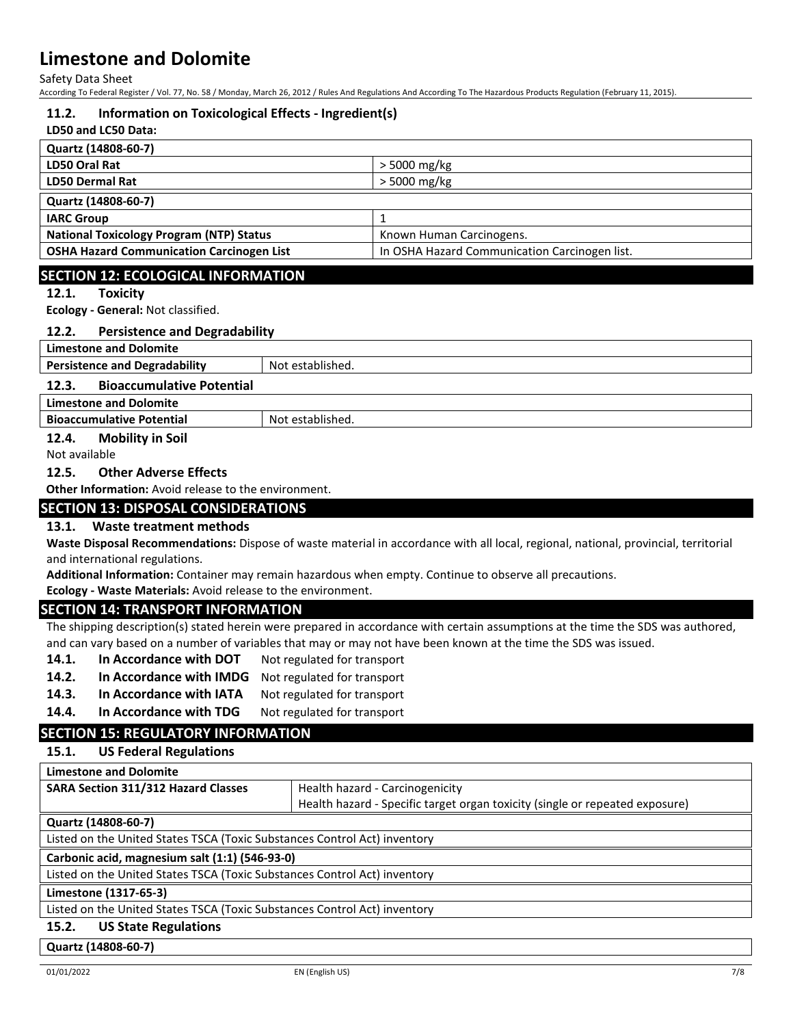Safety Data Sheet

According To Federal Register / Vol. 77, No. 58 / Monday, March 26, 2012 / Rules And Regulations And According To The Hazardous Products Regulation (February 11, 2015).

#### **11.2. Information on Toxicological Effects - Ingredient(s)**

## **LD50 and LC50 Data:**

| Quartz (14808-60-7)                              |                                               |
|--------------------------------------------------|-----------------------------------------------|
| LD50 Oral Rat                                    | > 5000 mg/kg                                  |
| <b>LD50 Dermal Rat</b>                           | > 5000 mg/kg                                  |
| Quartz (14808-60-7)                              |                                               |
| <b>IARC Group</b>                                |                                               |
| <b>National Toxicology Program (NTP) Status</b>  | Known Human Carcinogens.                      |
| <b>OSHA Hazard Communication Carcinogen List</b> | In OSHA Hazard Communication Carcinogen list. |
|                                                  |                                               |

### **SECTION 12: ECOLOGICAL INFORMATION**

#### **12.1. Toxicity**

**Ecology - General:** Not classified.

#### **12.2. Persistence and Degradability**

|--|

**Persistence and Degradability** Not established.

#### **12.3. Bioaccumulative Potential**

**Limestone and Dolomite**

**Bioaccumulative Potential Rightary Research Rightary Bioaccumulative Potential Rightary Rightary Rightary Rightary Rightary Rightary Rightary Rightary Rightary Rightary Rightary Rightary Rightary Rightary Rightary Rightar** 

#### **12.4. Mobility in Soil**

Not available

#### **12.5. Other Adverse Effects**

**Other Information:** Avoid release to the environment.

## **SECTION 13: DISPOSAL CONSIDERATIONS**

### **13.1. Waste treatment methods**

**Waste Disposal Recommendations:** Dispose of waste material in accordance with all local, regional, national, provincial, territorial and international regulations.

**Additional Information:** Container may remain hazardous when empty. Continue to observe all precautions.

**Ecology - Waste Materials:** Avoid release to the environment.

### **SECTION 14: TRANSPORT INFORMATION**

The shipping description(s) stated herein were prepared in accordance with certain assumptions at the time the SDS was authored, and can vary based on a number of variables that may or may not have been known at the time the SDS was issued.

- **14.1.** In Accordance with DOT Not regulated for transport
- **14.2. In Accordance with IMDG** Not regulated for transport
- 14.3. In Accordance with IATA Not regulated for transport
- **14.4.** In Accordance with TDG Not regulated for transport

## **SECTION 15: REGULATORY INFORMATION**

### **15.1. US Federal Regulations**

| <b>Limestone and Dolomite</b>                                             |                                                                              |
|---------------------------------------------------------------------------|------------------------------------------------------------------------------|
| SARA Section 311/312 Hazard Classes                                       | Health hazard - Carcinogenicity                                              |
|                                                                           | Health hazard - Specific target organ toxicity (single or repeated exposure) |
| Quartz (14808-60-7)                                                       |                                                                              |
| Listed on the United States TSCA (Toxic Substances Control Act) inventory |                                                                              |
| Carbonic acid, magnesium salt (1:1) (546-93-0)                            |                                                                              |
| Listed on the United States TSCA (Toxic Substances Control Act) inventory |                                                                              |
| Limestone (1317-65-3)                                                     |                                                                              |
| Listed on the United States TSCA (Toxic Substances Control Act) inventory |                                                                              |
| <b>US State Regulations</b><br>15.2.                                      |                                                                              |

**Quartz (14808-60-7)**